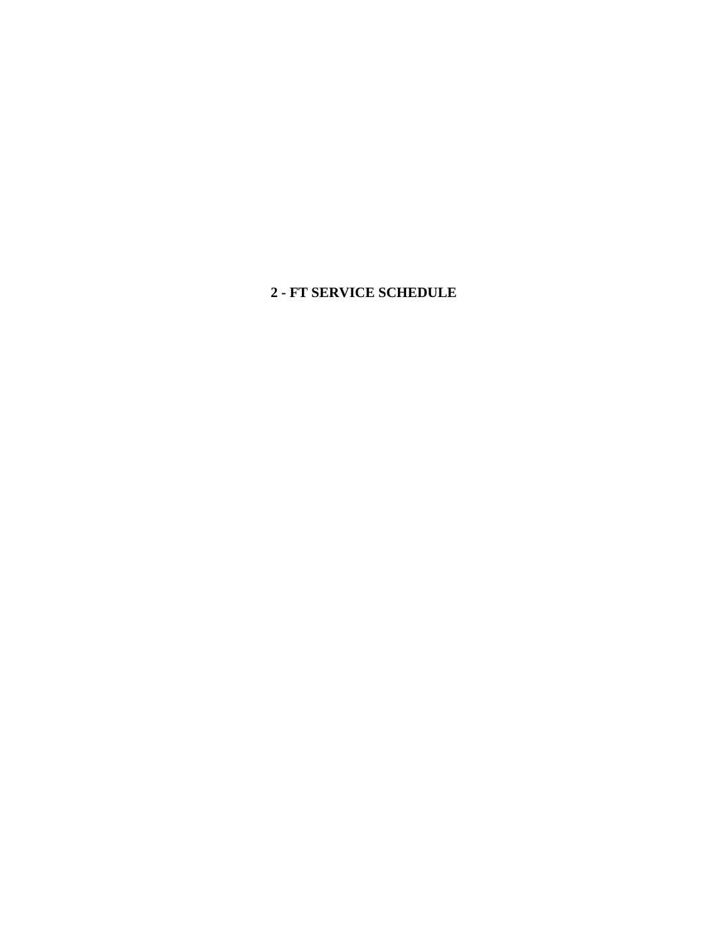**2 - FT SERVICE SCHEDULE**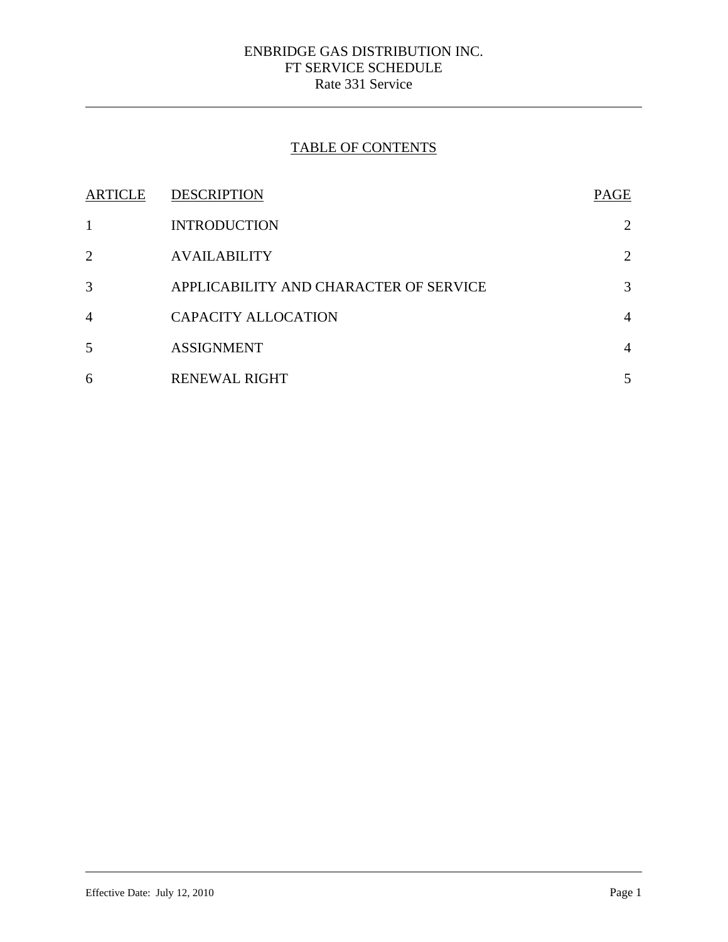# TABLE OF CONTENTS

| ARTICLE        | <b>DESCRIPTION</b>                     | PAGE           |
|----------------|----------------------------------------|----------------|
|                | <b>INTRODUCTION</b>                    | 2              |
| $\overline{2}$ | <b>AVAILABILITY</b>                    | 2              |
| 3              | APPLICABILITY AND CHARACTER OF SERVICE | 3              |
| $\overline{4}$ | <b>CAPACITY ALLOCATION</b>             | $\overline{4}$ |
| 5              | <b>ASSIGNMENT</b>                      | $\overline{4}$ |
| 6              | <b>RENEWAL RIGHT</b>                   | 5              |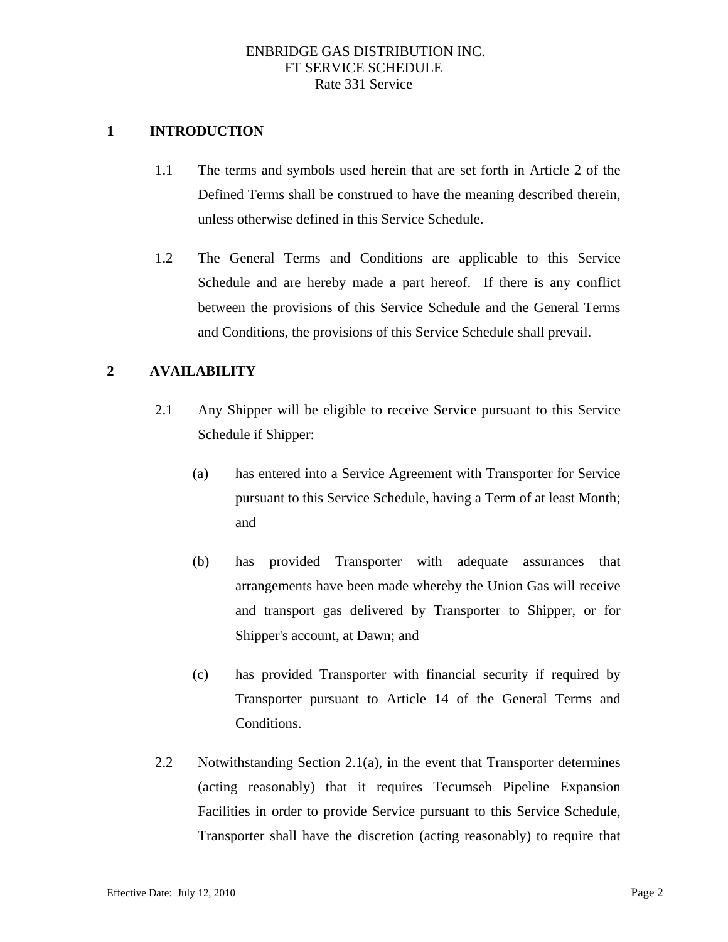### **1 INTRODUCTION**

 $\overline{a}$ 

- 1.1 The terms and symbols used herein that are set forth in Article 2 of the Defined Terms shall be construed to have the meaning described therein, unless otherwise defined in this Service Schedule.
- 1.2 The General Terms and Conditions are applicable to this Service Schedule and are hereby made a part hereof. If there is any conflict between the provisions of this Service Schedule and the General Terms and Conditions, the provisions of this Service Schedule shall prevail.

# **2 AVAILABILITY**

- 2.1 Any Shipper will be eligible to receive Service pursuant to this Service Schedule if Shipper:
	- (a) has entered into a Service Agreement with Transporter for Service pursuant to this Service Schedule, having a Term of at least Month; and
	- (b) has provided Transporter with adequate assurances that arrangements have been made whereby the Union Gas will receive and transport gas delivered by Transporter to Shipper, or for Shipper's account, at Dawn; and
	- (c) has provided Transporter with financial security if required by Transporter pursuant to Article 14 of the General Terms and Conditions.
- 2.2 Notwithstanding Section 2.1(a), in the event that Transporter determines (acting reasonably) that it requires Tecumseh Pipeline Expansion Facilities in order to provide Service pursuant to this Service Schedule, Transporter shall have the discretion (acting reasonably) to require that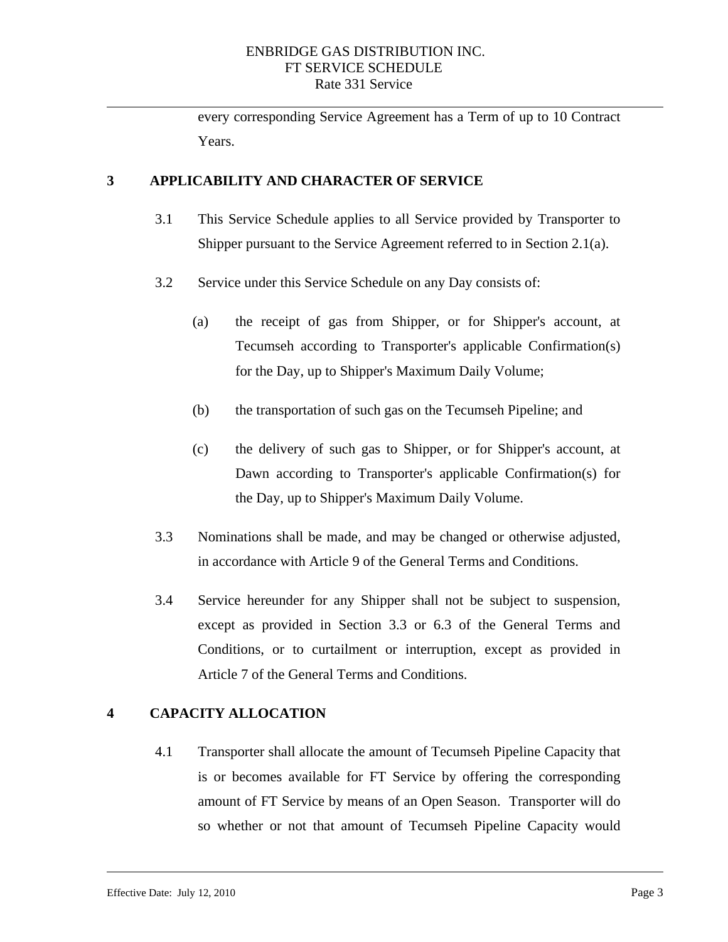every corresponding Service Agreement has a Term of up to 10 Contract Years.

### **3 APPLICABILITY AND CHARACTER OF SERVICE**

 $\overline{a}$ 

- 3.1 This Service Schedule applies to all Service provided by Transporter to Shipper pursuant to the Service Agreement referred to in Section 2.1(a).
- 3.2 Service under this Service Schedule on any Day consists of:
	- (a) the receipt of gas from Shipper, or for Shipper's account, at Tecumseh according to Transporter's applicable Confirmation(s) for the Day, up to Shipper's Maximum Daily Volume;
	- (b) the transportation of such gas on the Tecumseh Pipeline; and
	- (c) the delivery of such gas to Shipper, or for Shipper's account, at Dawn according to Transporter's applicable Confirmation(s) for the Day, up to Shipper's Maximum Daily Volume.
- 3.3 Nominations shall be made, and may be changed or otherwise adjusted, in accordance with Article 9 of the General Terms and Conditions.
- 3.4 Service hereunder for any Shipper shall not be subject to suspension, except as provided in Section 3.3 or 6.3 of the General Terms and Conditions, or to curtailment or interruption, except as provided in Article 7 of the General Terms and Conditions.

# **4 CAPACITY ALLOCATION**

4.1 Transporter shall allocate the amount of Tecumseh Pipeline Capacity that is or becomes available for FT Service by offering the corresponding amount of FT Service by means of an Open Season. Transporter will do so whether or not that amount of Tecumseh Pipeline Capacity would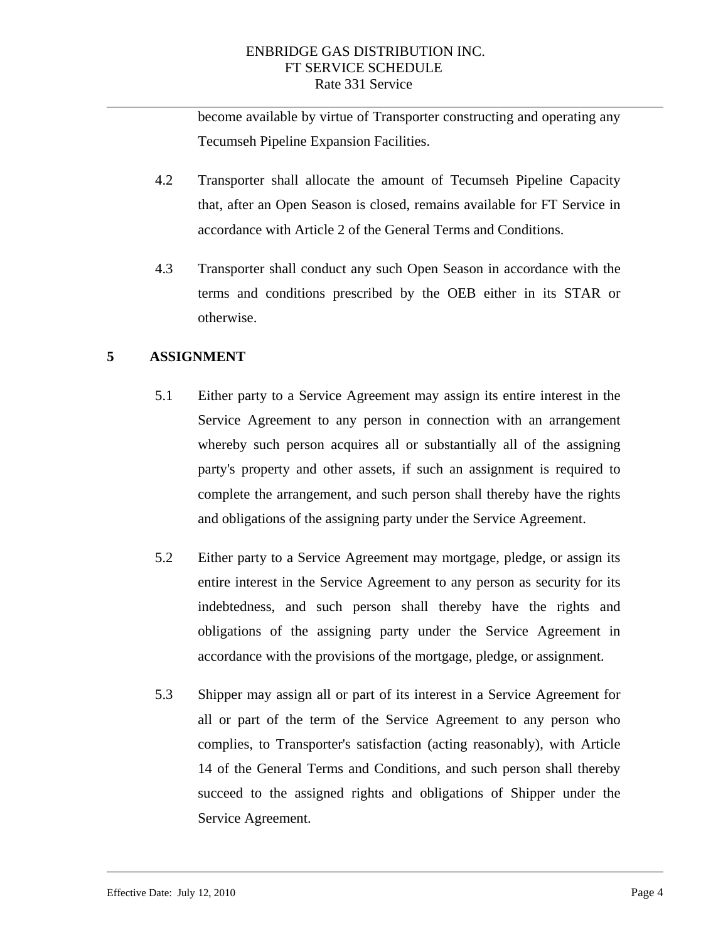become available by virtue of Transporter constructing and operating any Tecumseh Pipeline Expansion Facilities.

- 4.2 Transporter shall allocate the amount of Tecumseh Pipeline Capacity that, after an Open Season is closed, remains available for FT Service in accordance with Article 2 of the General Terms and Conditions.
- 4.3 Transporter shall conduct any such Open Season in accordance with the terms and conditions prescribed by the OEB either in its STAR or otherwise.

#### **5 ASSIGNMENT**

- 5.1 Either party to a Service Agreement may assign its entire interest in the Service Agreement to any person in connection with an arrangement whereby such person acquires all or substantially all of the assigning party's property and other assets, if such an assignment is required to complete the arrangement, and such person shall thereby have the rights and obligations of the assigning party under the Service Agreement.
- 5.2 Either party to a Service Agreement may mortgage, pledge, or assign its entire interest in the Service Agreement to any person as security for its indebtedness, and such person shall thereby have the rights and obligations of the assigning party under the Service Agreement in accordance with the provisions of the mortgage, pledge, or assignment.
- 5.3 Shipper may assign all or part of its interest in a Service Agreement for all or part of the term of the Service Agreement to any person who complies, to Transporter's satisfaction (acting reasonably), with Article 14 of the General Terms and Conditions, and such person shall thereby succeed to the assigned rights and obligations of Shipper under the Service Agreement.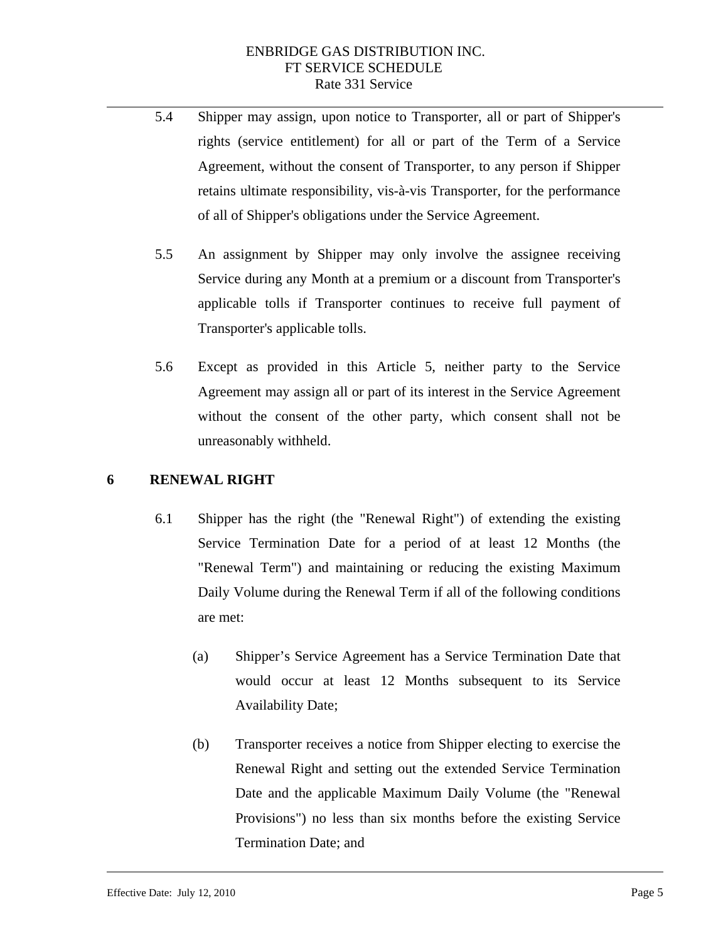- 5.4 Shipper may assign, upon notice to Transporter, all or part of Shipper's rights (service entitlement) for all or part of the Term of a Service Agreement, without the consent of Transporter, to any person if Shipper retains ultimate responsibility, vis-à-vis Transporter, for the performance of all of Shipper's obligations under the Service Agreement.
- 5.5 An assignment by Shipper may only involve the assignee receiving Service during any Month at a premium or a discount from Transporter's applicable tolls if Transporter continues to receive full payment of Transporter's applicable tolls.
- 5.6 Except as provided in this Article 5, neither party to the Service Agreement may assign all or part of its interest in the Service Agreement without the consent of the other party, which consent shall not be unreasonably withheld.

#### **6 RENEWAL RIGHT**

- 6.1 Shipper has the right (the "Renewal Right") of extending the existing Service Termination Date for a period of at least 12 Months (the "Renewal Term") and maintaining or reducing the existing Maximum Daily Volume during the Renewal Term if all of the following conditions are met:
	- (a) Shipper's Service Agreement has a Service Termination Date that would occur at least 12 Months subsequent to its Service Availability Date;
	- (b) Transporter receives a notice from Shipper electing to exercise the Renewal Right and setting out the extended Service Termination Date and the applicable Maximum Daily Volume (the "Renewal Provisions") no less than six months before the existing Service Termination Date; and